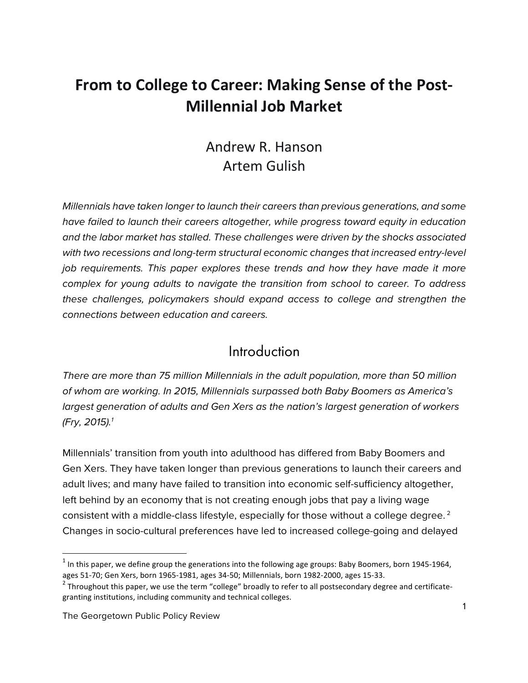# **From to College to Career: Making Sense of the Post-Millennial Job Market**

### Andrew R. Hanson Artem Gulish

*Millennials have taken longer to launch their careers than previous generations, and some have failed to launch their careers altogether, while progress toward equity in education and the labor market has stalled. These challenges were driven by the shocks associated with two recessions and long-term structural economic changes that increased entry-level job requirements. This paper explores these trends and how they have made it more complex for young adults to navigate the transition from school to career. To address these challenges, policymakers should expand access to college and strengthen the connections between education and careers.* 

#### Introduction

*There are more than 75 million Millennials in the adult population, more than 50 million of whom are working. In 2015, Millennials surpassed both Baby Boomers as America's largest generation of adults and Gen Xers as the nation's largest generation of workers (Fry, 2015).1*

Millennials' transition from youth into adulthood has differed from Baby Boomers and Gen Xers. They have taken longer than previous generations to launch their careers and adult lives; and many have failed to transition into economic self-sufficiency altogether, left behind by an economy that is not creating enough jobs that pay a living wage consistent with a middle-class lifestyle, especially for those without a college degree. <sup>2</sup> Changes in socio-cultural preferences have led to increased college-going and delayed

<u> 1989 - Johann Barn, mars ann an t-Amhain Aonaich ann an t-Aonaich ann an t-Aonaich ann an t-Aonaich ann an t-</u>

 $<sup>1</sup>$  In this paper, we define group the generations into the following age groups: Baby Boomers, born 1945-1964,</sup> ages 51-70; Gen Xers, born 1965-1981, ages 34-50; Millennials, born 1982-2000, ages 15-33.

 $2$  Throughout this paper, we use the term "college" broadly to refer to all postsecondary degree and certificategranting institutions, including community and technical colleges.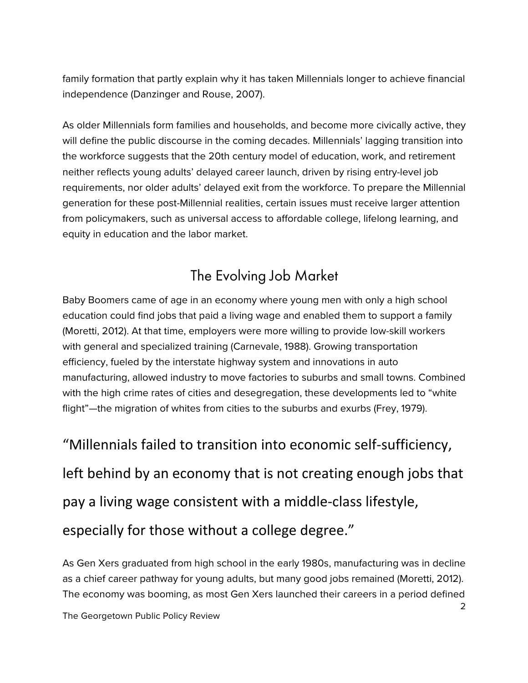family formation that partly explain why it has taken Millennials longer to achieve financial independence (Danzinger and Rouse, 2007).

As older Millennials form families and households, and become more civically active, they will define the public discourse in the coming decades. Millennials' lagging transition into the workforce suggests that the 20th century model of education, work, and retirement neither reflects young adults' delayed career launch, driven by rising entry-level job requirements, nor older adults' delayed exit from the workforce. To prepare the Millennial generation for these post-Millennial realities, certain issues must receive larger attention from policymakers, such as universal access to affordable college, lifelong learning, and equity in education and the labor market.

# The Evolving Job Market

Baby Boomers came of age in an economy where young men with only a high school education could find jobs that paid a living wage and enabled them to support a family (Moretti, 2012). At that time, employers were more willing to provide low-skill workers with general and specialized training (Carnevale, 1988). Growing transportation efficiency, fueled by the interstate highway system and innovations in auto manufacturing, allowed industry to move factories to suburbs and small towns. Combined with the high crime rates of cities and desegregation, these developments led to "white flight"—the migration of whites from cities to the suburbs and exurbs (Frey, 1979).

"Millennials failed to transition into economic self-sufficiency, left behind by an economy that is not creating enough jobs that pay a living wage consistent with a middle-class lifestyle, especially for those without a college degree."

As Gen Xers graduated from high school in the early 1980s, manufacturing was in decline as a chief career pathway for young adults, but many good jobs remained (Moretti, 2012). The economy was booming, as most Gen Xers launched their careers in a period defined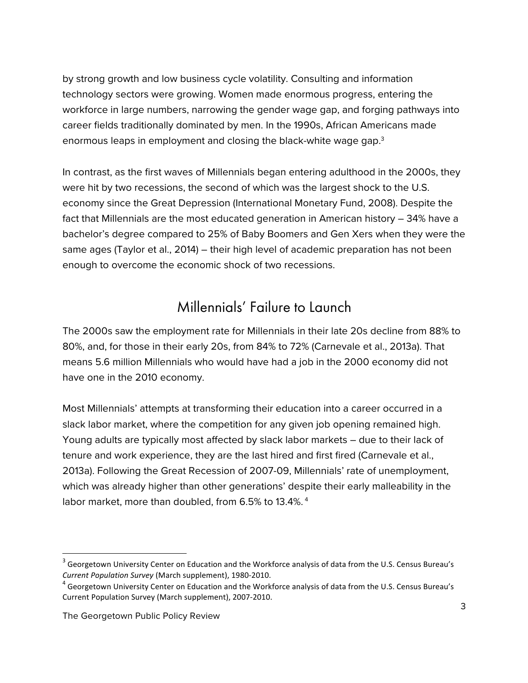by strong growth and low business cycle volatility. Consulting and information technology sectors were growing. Women made enormous progress, entering the workforce in large numbers, narrowing the gender wage gap, and forging pathways into career fields traditionally dominated by men. In the 1990s, African Americans made enormous leaps in employment and closing the black-white wage gap.<sup>3</sup>

In contrast, as the first waves of Millennials began entering adulthood in the 2000s, they were hit by two recessions, the second of which was the largest shock to the U.S. economy since the Great Depression (International Monetary Fund, 2008). Despite the fact that Millennials are the most educated generation in American history – 34% have a bachelor's degree compared to 25% of Baby Boomers and Gen Xers when they were the same ages (Taylor et al., 2014) – their high level of academic preparation has not been enough to overcome the economic shock of two recessions.

## Millennials' Failure to Launch

The 2000s saw the employment rate for Millennials in their late 20s decline from 88% to 80%, and, for those in their early 20s, from 84% to 72% (Carnevale et al., 2013a). That means 5.6 million Millennials who would have had a job in the 2000 economy did not have one in the 2010 economy.

Most Millennials' attempts at transforming their education into a career occurred in a slack labor market, where the competition for any given job opening remained high. Young adults are typically most affected by slack labor markets – due to their lack of tenure and work experience, they are the last hired and first fired (Carnevale et al., 2013a). Following the Great Recession of 2007-09, Millennials' rate of unemployment, which was already higher than other generations' despite their early malleability in the labor market, more than doubled, from 6.5% to 13.4%.<sup>4</sup>

<u> 1989 - Johann Barn, mars ann an t-Amhain Aonaich ann an t-Aonaich ann an t-Aonaich ann an t-Aonaich ann an t-</u>

 $3$  Georgetown University Center on Education and the Workforce analysis of data from the U.S. Census Bureau's *Current Population Survey* (March supplement), 1980-2010.

 $^4$  Georgetown University Center on Education and the Workforce analysis of data from the U.S. Census Bureau's Current Population Survey (March supplement), 2007-2010.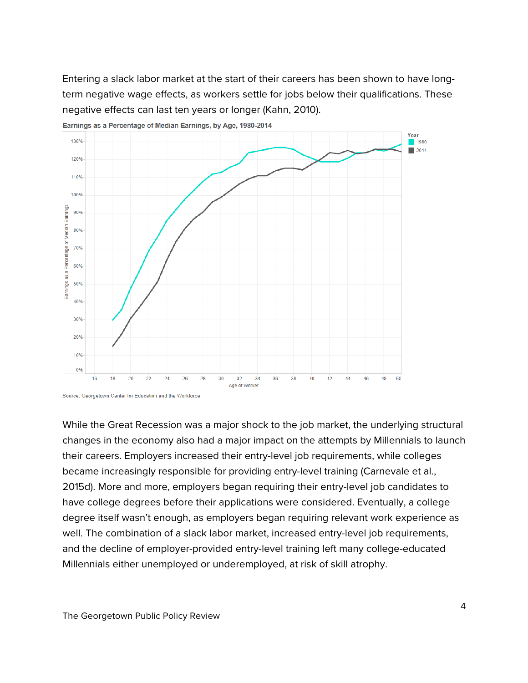Entering a slack labor market at the start of their careers has been shown to have longterm negative wage effects, as workers settle for jobs below their qualifications. These negative effects can last ten years or longer (Kahn, 2010).



Earnings as a Percentage of Median Earnings, by Age, 1980-2014

While the Great Recession was a major shock to the job market, the underlying structural changes in the economy also had a major impact on the attempts by Millennials to launch their careers. Employers increased their entry-level job requirements, while colleges became increasingly responsible for providing entry-level training (Carnevale et al., 2015d). More and more, employers began requiring their entry-level job candidates to have college degrees before their applications were considered. Eventually, a college degree itself wasn't enough, as employers began requiring relevant work experience as well. The combination of a slack labor market, increased entry-level job requirements, and the decline of employer-provided entry-level training left many college-educated Millennials either unemployed or underemployed, at risk of skill atrophy.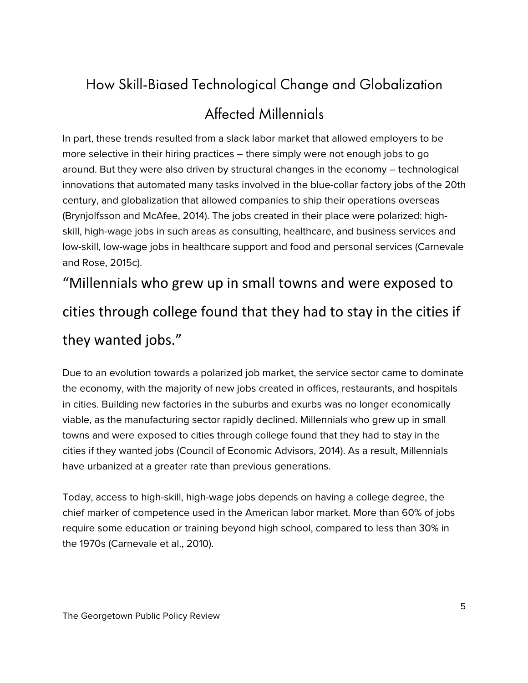# How Skill-Biased Technological Change and Globalization

# Affected Millennials

In part, these trends resulted from a slack labor market that allowed employers to be more selective in their hiring practices – there simply were not enough jobs to go around. But they were also driven by structural changes in the economy – technological innovations that automated many tasks involved in the blue-collar factory jobs of the 20th century, and globalization that allowed companies to ship their operations overseas (Brynjolfsson and McAfee, 2014). The jobs created in their place were polarized: highskill, high-wage jobs in such areas as consulting, healthcare, and business services and low-skill, low-wage jobs in healthcare support and food and personal services (Carnevale and Rose, 2015c).

"Millennials who grew up in small towns and were exposed to cities through college found that they had to stay in the cities if

## they wanted jobs."

Due to an evolution towards a polarized job market, the service sector came to dominate the economy, with the majority of new jobs created in offices, restaurants, and hospitals in cities. Building new factories in the suburbs and exurbs was no longer economically viable, as the manufacturing sector rapidly declined. Millennials who grew up in small towns and were exposed to cities through college found that they had to stay in the cities if they wanted jobs (Council of Economic Advisors, 2014). As a result, Millennials have urbanized at a greater rate than previous generations.

Today, access to high-skill, high-wage jobs depends on having a college degree, the chief marker of competence used in the American labor market. More than 60% of jobs require some education or training beyond high school, compared to less than 30% in the 1970s (Carnevale et al., 2010).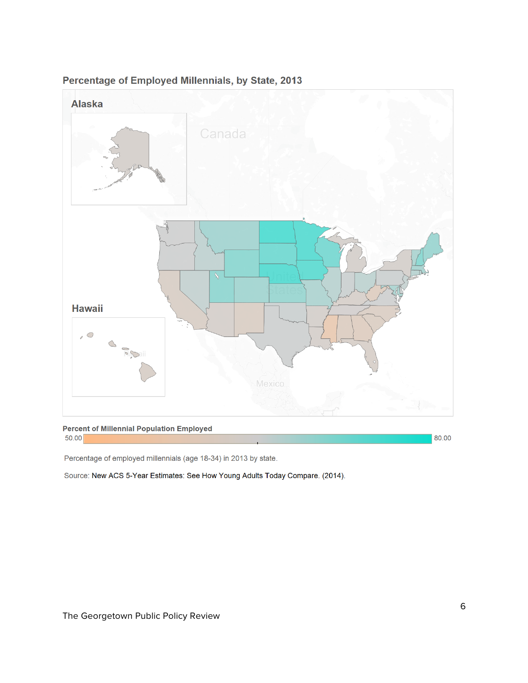

#### Percentage of Employed Millennials, by State, 2013

**Percent of Millennial Population Employed**  $50.00$ 

80.00

Percentage of employed millennials (age 18-34) in 2013 by state.

Source: New ACS 5-Year Estimates: See How Young Adults Today Compare. (2014).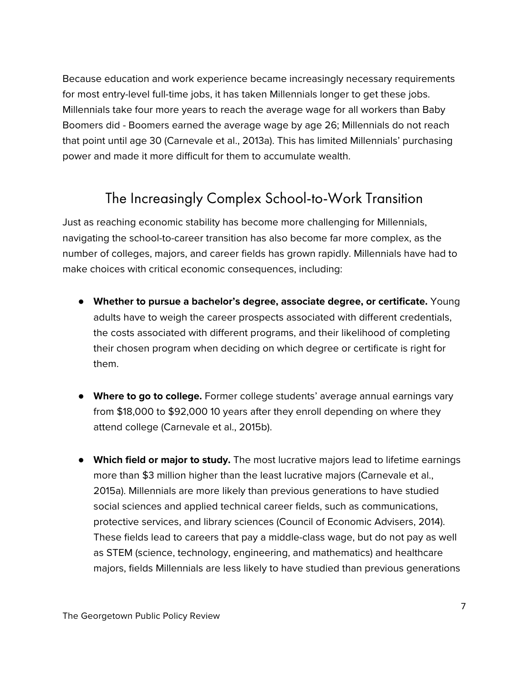Because education and work experience became increasingly necessary requirements for most entry-level full-time jobs, it has taken Millennials longer to get these jobs. Millennials take four more years to reach the average wage for all workers than Baby Boomers did - Boomers earned the average wage by age 26; Millennials do not reach that point until age 30 (Carnevale et al., 2013a). This has limited Millennials' purchasing power and made it more difficult for them to accumulate wealth.

# The Increasingly Complex School-to-Work Transition

Just as reaching economic stability has become more challenging for Millennials, navigating the school-to-career transition has also become far more complex, as the number of colleges, majors, and career fields has grown rapidly. Millennials have had to make choices with critical economic consequences, including:

- **Whether to pursue a bachelor's degree, associate degree, or certificate.** Young adults have to weigh the career prospects associated with different credentials, the costs associated with different programs, and their likelihood of completing their chosen program when deciding on which degree or certificate is right for them.
- **Where to go to college.** Former college students' average annual earnings vary from \$18,000 to \$92,000 10 years after they enroll depending on where they attend college (Carnevale et al., 2015b).
- **Which field or major to study.** The most lucrative majors lead to lifetime earnings more than \$3 million higher than the least lucrative majors (Carnevale et al., 2015a). Millennials are more likely than previous generations to have studied social sciences and applied technical career fields, such as communications, protective services, and library sciences (Council of Economic Advisers, 2014). These fields lead to careers that pay a middle-class wage, but do not pay as well as STEM (science, technology, engineering, and mathematics) and healthcare majors, fields Millennials are less likely to have studied than previous generations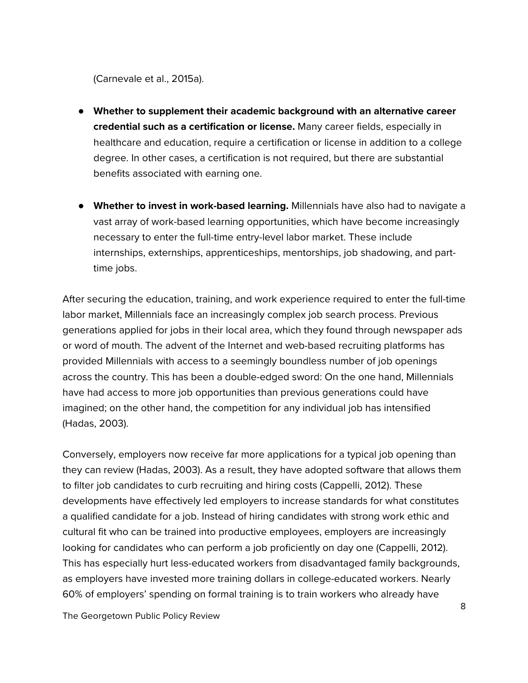(Carnevale et al., 2015a).

- **Whether to supplement their academic background with an alternative career credential such as a certification or license.** Many career fields, especially in healthcare and education, require a certification or license in addition to a college degree. In other cases, a certification is not required, but there are substantial benefits associated with earning one.
- **Whether to invest in work-based learning.** Millennials have also had to navigate a vast array of work-based learning opportunities, which have become increasingly necessary to enter the full-time entry-level labor market. These include internships, externships, apprenticeships, mentorships, job shadowing, and parttime jobs.

After securing the education, training, and work experience required to enter the full-time labor market, Millennials face an increasingly complex job search process. Previous generations applied for jobs in their local area, which they found through newspaper ads or word of mouth. The advent of the Internet and web-based recruiting platforms has provided Millennials with access to a seemingly boundless number of job openings across the country. This has been a double-edged sword: On the one hand, Millennials have had access to more job opportunities than previous generations could have imagined; on the other hand, the competition for any individual job has intensified (Hadas, 2003).

Conversely, employers now receive far more applications for a typical job opening than they can review (Hadas, 2003). As a result, they have adopted software that allows them to filter job candidates to curb recruiting and hiring costs (Cappelli, 2012). These developments have effectively led employers to increase standards for what constitutes a qualified candidate for a job. Instead of hiring candidates with strong work ethic and cultural fit who can be trained into productive employees, employers are increasingly looking for candidates who can perform a job proficiently on day one (Cappelli, 2012). This has especially hurt less-educated workers from disadvantaged family backgrounds, as employers have invested more training dollars in college-educated workers. Nearly 60% of employers' spending on formal training is to train workers who already have

The Georgetown Public Policy Review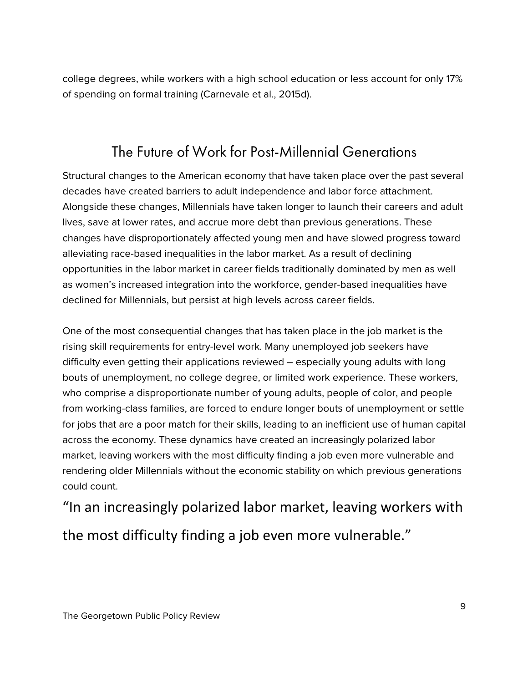college degrees, while workers with a high school education or less account for only 17% of spending on formal training (Carnevale et al., 2015d).

## The Future of Work for Post-Millennial Generations

Structural changes to the American economy that have taken place over the past several decades have created barriers to adult independence and labor force attachment. Alongside these changes, Millennials have taken longer to launch their careers and adult lives, save at lower rates, and accrue more debt than previous generations. These changes have disproportionately affected young men and have slowed progress toward alleviating race-based inequalities in the labor market. As a result of declining opportunities in the labor market in career fields traditionally dominated by men as well as women's increased integration into the workforce, gender-based inequalities have declined for Millennials, but persist at high levels across career fields.

One of the most consequential changes that has taken place in the job market is the rising skill requirements for entry-level work. Many unemployed job seekers have difficulty even getting their applications reviewed – especially young adults with long bouts of unemployment, no college degree, or limited work experience. These workers, who comprise a disproportionate number of young adults, people of color, and people from working-class families, are forced to endure longer bouts of unemployment or settle for jobs that are a poor match for their skills, leading to an inefficient use of human capital across the economy. These dynamics have created an increasingly polarized labor market, leaving workers with the most difficulty finding a job even more vulnerable and rendering older Millennials without the economic stability on which previous generations could count.

"In an increasingly polarized labor market, leaving workers with the most difficulty finding a job even more vulnerable."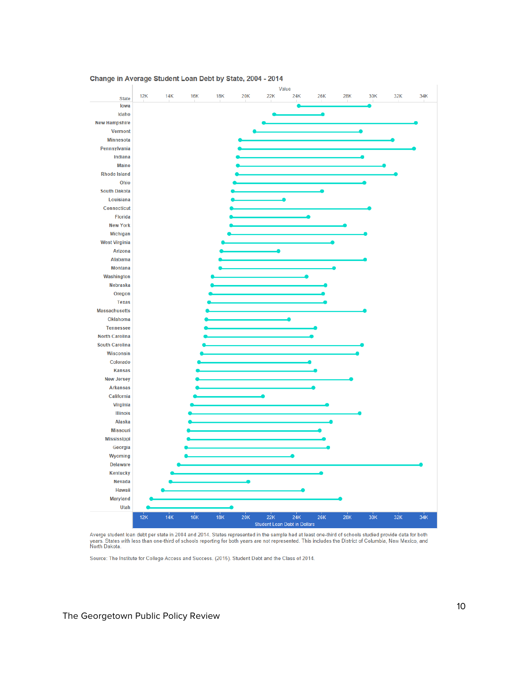

Change in Average Student Loan Debt by State, 2004 - 2014

Averge student loan debt per state in 2004 and 2014. States represented in the sample had at least one-third of schools studied provide data for both Averge studient loan debt per state in 2004 and 2014. States represented in the sample had at least one-third of schools studied provide data for both<br>years. States with less than one-third of schools reporting for both ye

Source: The Institute for College Access and Success. (2015). Student Debt and the Class of 2014.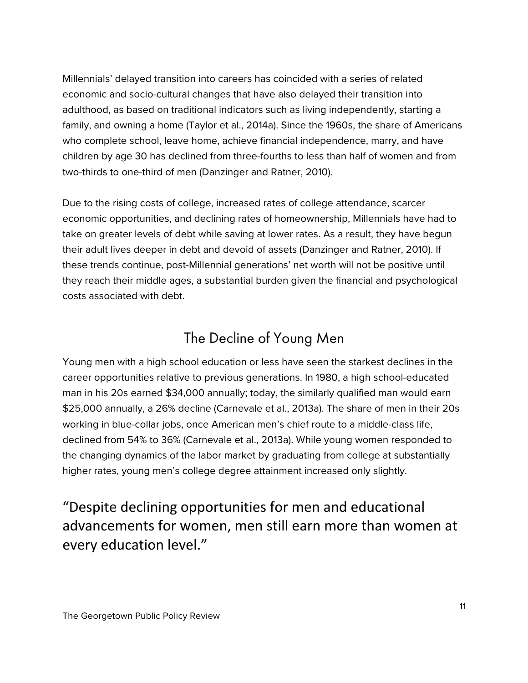Millennials' delayed transition into careers has coincided with a series of related economic and socio-cultural changes that have also delayed their transition into adulthood, as based on traditional indicators such as living independently, starting a family, and owning a home (Taylor et al., 2014a). Since the 1960s, the share of Americans who complete school, leave home, achieve financial independence, marry, and have children by age 30 has declined from three-fourths to less than half of women and from two-thirds to one-third of men (Danzinger and Ratner, 2010).

Due to the rising costs of college, increased rates of college attendance, scarcer economic opportunities, and declining rates of homeownership, Millennials have had to take on greater levels of debt while saving at lower rates. As a result, they have begun their adult lives deeper in debt and devoid of assets (Danzinger and Ratner, 2010). If these trends continue, post-Millennial generations' net worth will not be positive until they reach their middle ages, a substantial burden given the financial and psychological costs associated with debt.

### The Decline of Young Men

Young men with a high school education or less have seen the starkest declines in the career opportunities relative to previous generations. In 1980, a high school-educated man in his 20s earned \$34,000 annually; today, the similarly qualified man would earn \$25,000 annually, a 26% decline (Carnevale et al., 2013a). The share of men in their 20s working in blue-collar jobs, once American men's chief route to a middle-class life, declined from 54% to 36% (Carnevale et al., 2013a). While young women responded to the changing dynamics of the labor market by graduating from college at substantially higher rates, young men's college degree attainment increased only slightly.

"Despite declining opportunities for men and educational advancements for women, men still earn more than women at every education level."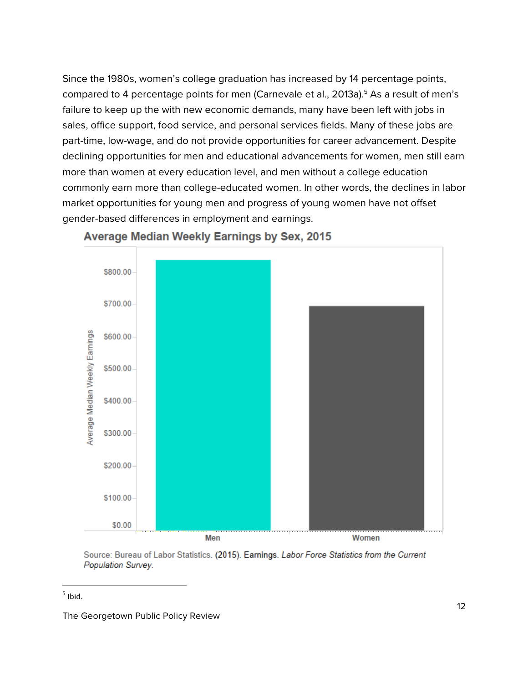Since the 1980s, women's college graduation has increased by 14 percentage points, compared to 4 percentage points for men (Carnevale et al., 2013a).<sup>5</sup> As a result of men's failure to keep up the with new economic demands, many have been left with jobs in sales, office support, food service, and personal services fields. Many of these jobs are part-time, low-wage, and do not provide opportunities for career advancement. Despite declining opportunities for men and educational advancements for women, men still earn more than women at every education level, and men without a college education commonly earn more than college-educated women. In other words, the declines in labor market opportunities for young men and progress of young women have not offset gender-based differences in employment and earnings.



#### **Average Median Weekly Earnings by Sex, 2015**

Source: Bureau of Labor Statistics. (2015). Earnings. Labor Force Statistics from the Current Population Survey.

<u> 1989 - Johann Barn, mars ann an t-Amhain Aonaich ann an t-Aonaich ann an t-Aonaich ann an t-Aonaich ann an t-</u>

 $<sup>5</sup>$  Ibid.</sup>

The Georgetown Public Policy Review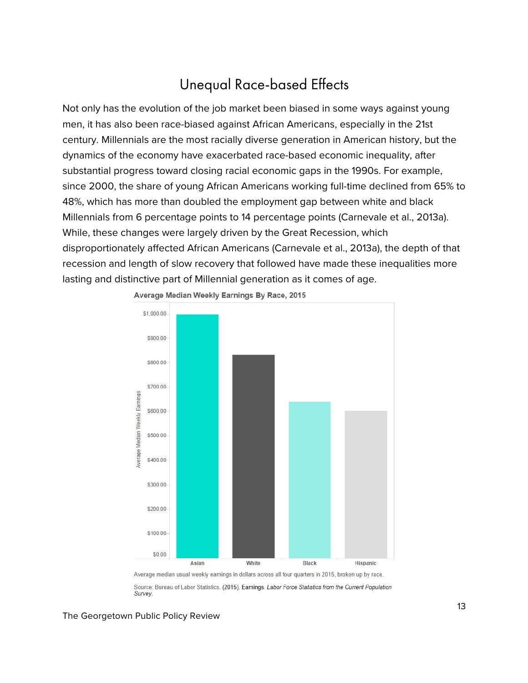# Unequal Race-based Effects

Not only has the evolution of the job market been biased in some ways against young men, it has also been race-biased against African Americans, especially in the 21st century. Millennials are the most racially diverse generation in American history, but the dynamics of the economy have exacerbated race-based economic inequality, after substantial progress toward closing racial economic gaps in the 1990s. For example, since 2000, the share of young African Americans working full-time declined from 65% to 48%, which has more than doubled the employment gap between white and black Millennials from 6 percentage points to 14 percentage points (Carnevale et al., 2013a). While, these changes were largely driven by the Great Recession, which disproportionately affected African Americans (Carnevale et al., 2013a), the depth of that recession and length of slow recovery that followed have made these inequalities more lasting and distinctive part of Millennial generation as it comes of age.



Average Median Weekly Earnings By Race, 2015

Source: Bureau of Labor Statistics. (2015). Earnings. Labor Force Statistics from the Current Population Survey

The Georgetown Public Policy Review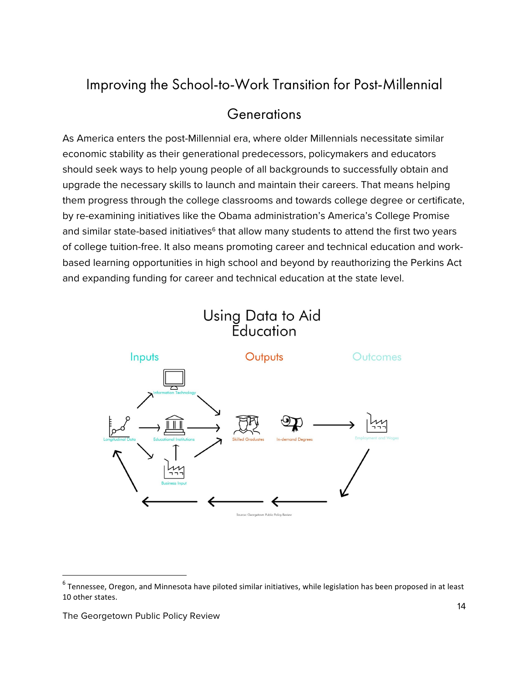# Improving the School-to-Work Transition for Post-Millennial

#### **Generations**

As America enters the post-Millennial era, where older Millennials necessitate similar economic stability as their generational predecessors, policymakers and educators should seek ways to help young people of all backgrounds to successfully obtain and upgrade the necessary skills to launch and maintain their careers. That means helping them progress through the college classrooms and towards college degree or certificate, by re-examining initiatives like the Obama administration's America's College Promise and similar state-based initiatives<sup>6</sup> that allow many students to attend the first two years of college tuition-free. It also means promoting career and technical education and workbased learning opportunities in high school and beyond by reauthorizing the Perkins Act and expanding funding for career and technical education at the state level.

# Using Data to Aid<br>Education



<u> 1989 - Johann Barn, mars ann an t-Amhain an t-Amhain an t-Amhain an t-Amhain an t-Amhain an t-Amhain an t-Amh</u>

 $6$  Tennessee, Oregon, and Minnesota have piloted similar initiatives, while legislation has been proposed in at least 10 other states.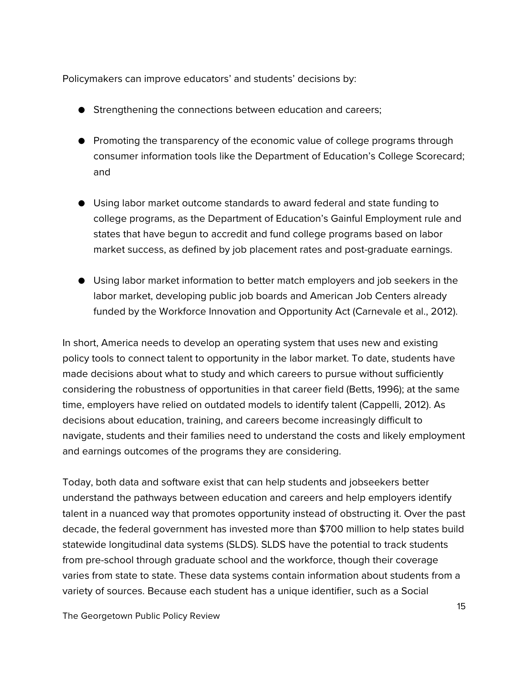Policymakers can improve educators' and students' decisions by:

- Strengthening the connections between education and careers;
- Promoting the transparency of the economic value of college programs through consumer information tools like the Department of Education's College Scorecard; and
- Using labor market outcome standards to award federal and state funding to college programs, as the Department of Education's Gainful Employment rule and states that have begun to accredit and fund college programs based on labor market success, as defined by job placement rates and post-graduate earnings.
- Using labor market information to better match employers and job seekers in the labor market, developing public job boards and American Job Centers already funded by the Workforce Innovation and Opportunity Act (Carnevale et al., 2012).

In short, America needs to develop an operating system that uses new and existing policy tools to connect talent to opportunity in the labor market. To date, students have made decisions about what to study and which careers to pursue without sufficiently considering the robustness of opportunities in that career field (Betts, 1996); at the same time, employers have relied on outdated models to identify talent (Cappelli, 2012). As decisions about education, training, and careers become increasingly difficult to navigate, students and their families need to understand the costs and likely employment and earnings outcomes of the programs they are considering.

Today, both data and software exist that can help students and jobseekers better understand the pathways between education and careers and help employers identify talent in a nuanced way that promotes opportunity instead of obstructing it. Over the past decade, the federal government has invested more than \$700 million to help states build statewide longitudinal data systems (SLDS). SLDS have the potential to track students from pre-school through graduate school and the workforce, though their coverage varies from state to state. These data systems contain information about students from a variety of sources. Because each student has a unique identifier, such as a Social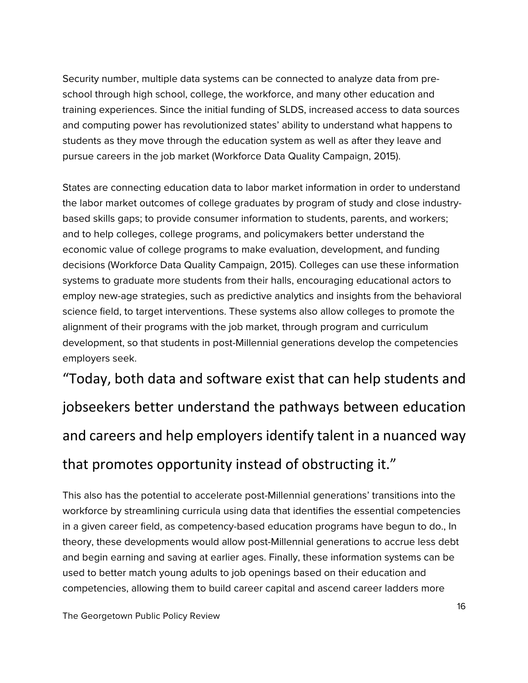Security number, multiple data systems can be connected to analyze data from preschool through high school, college, the workforce, and many other education and training experiences. Since the initial funding of SLDS, increased access to data sources and computing power has revolutionized states' ability to understand what happens to students as they move through the education system as well as after they leave and pursue careers in the job market (Workforce Data Quality Campaign, 2015).

States are connecting education data to labor market information in order to understand the labor market outcomes of college graduates by program of study and close industrybased skills gaps; to provide consumer information to students, parents, and workers; and to help colleges, college programs, and policymakers better understand the economic value of college programs to make evaluation, development, and funding decisions (Workforce Data Quality Campaign, 2015). Colleges can use these information systems to graduate more students from their halls, encouraging educational actors to employ new-age strategies, such as predictive analytics and insights from the behavioral science field, to target interventions. These systems also allow colleges to promote the alignment of their programs with the job market, through program and curriculum development, so that students in post-Millennial generations develop the competencies employers seek.

"Today, both data and software exist that can help students and jobseekers better understand the pathways between education and careers and help employers identify talent in a nuanced way that promotes opportunity instead of obstructing it."

This also has the potential to accelerate post-Millennial generations' transitions into the workforce by streamlining curricula using data that identifies the essential competencies in a given career field, as competency-based education programs have begun to do., In theory, these developments would allow post-Millennial generations to accrue less debt and begin earning and saving at earlier ages. Finally, these information systems can be used to better match young adults to job openings based on their education and competencies, allowing them to build career capital and ascend career ladders more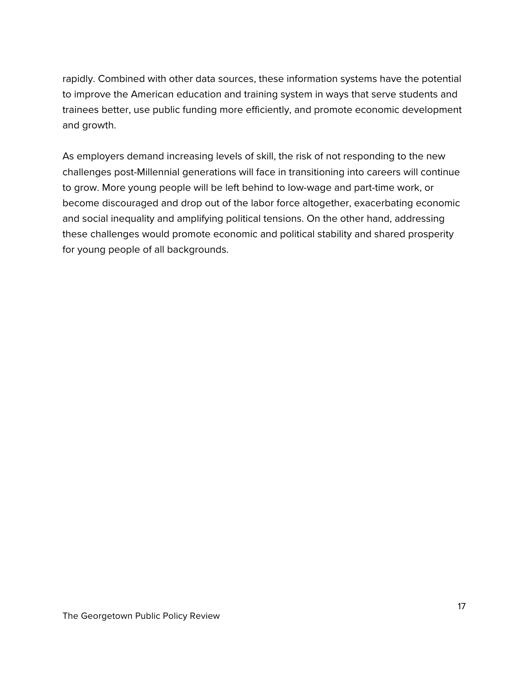rapidly. Combined with other data sources, these information systems have the potential to improve the American education and training system in ways that serve students and trainees better, use public funding more efficiently, and promote economic development and growth.

As employers demand increasing levels of skill, the risk of not responding to the new challenges post-Millennial generations will face in transitioning into careers will continue to grow. More young people will be left behind to low-wage and part-time work, or become discouraged and drop out of the labor force altogether, exacerbating economic and social inequality and amplifying political tensions. On the other hand, addressing these challenges would promote economic and political stability and shared prosperity for young people of all backgrounds.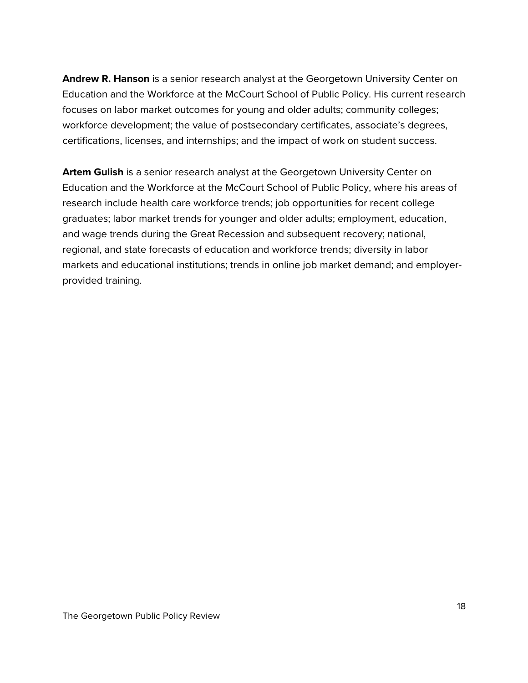**Andrew R. Hanson** is a senior research analyst at the Georgetown University Center on Education and the Workforce at the McCourt School of Public Policy. His current research focuses on labor market outcomes for young and older adults; community colleges; workforce development; the value of postsecondary certificates, associate's degrees, certifications, licenses, and internships; and the impact of work on student success.

**Artem Gulish** is a senior research analyst at the Georgetown University Center on Education and the Workforce at the McCourt School of Public Policy, where his areas of research include health care workforce trends; job opportunities for recent college graduates; labor market trends for younger and older adults; employment, education, and wage trends during the Great Recession and subsequent recovery; national, regional, and state forecasts of education and workforce trends; diversity in labor markets and educational institutions; trends in online job market demand; and employerprovided training.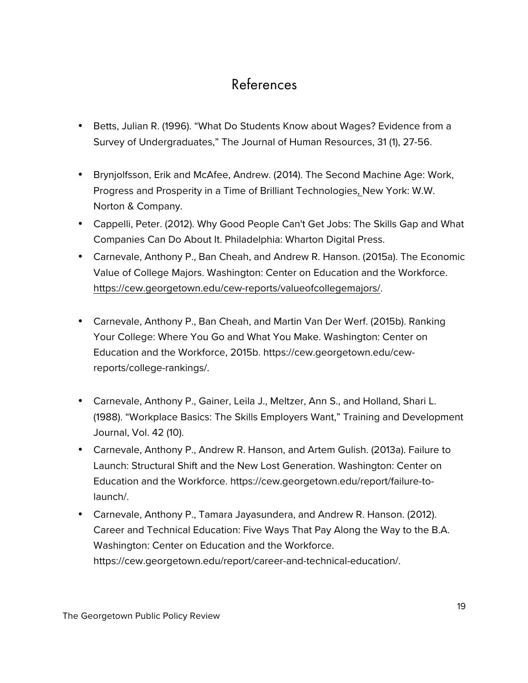# References

- Betts, Julian R. (1996). "What Do Students Know about Wages? Evidence from a Survey of Undergraduates," The Journal of Human Resources, 31 (1), 27-56.
- Brynjolfsson, Erik and McAfee, Andrew. (2014). The Second Machine Age: Work, Progress and Prosperity in a Time of Brilliant Technologies, New York: W.W. Norton & Company.
- Cappelli, Peter. (2012). Why Good People Can't Get Jobs: The Skills Gap and What Companies Can Do About It. Philadelphia: Wharton Digital Press.
- Carnevale, Anthony P., Ban Cheah, and Andrew R. Hanson. (2015a). The Economic Value of College Majors. Washington: Center on Education and the Workforce. https://cew.georgetown.edu/cew-reports/valueofcollegemajors/.
- Carnevale, Anthony P., Ban Cheah, and Martin Van Der Werf. (2015b). Ranking Your College: Where You Go and What You Make. Washington: Center on Education and the Workforce, 2015b. https://cew.georgetown.edu/cewreports/college-rankings/.
- Carnevale, Anthony P., Gainer, Leila J., Meltzer, Ann S., and Holland, Shari L. (1988). "Workplace Basics: The Skills Employers Want," Training and Development Journal, Vol. 42 (10).
- Carnevale, Anthony P., Andrew R. Hanson, and Artem Gulish. (2013a). Failure to Launch: Structural Shift and the New Lost Generation. Washington: Center on Education and the Workforce. https://cew.georgetown.edu/report/failure-tolaunch/.
- Carnevale, Anthony P., Tamara Jayasundera, and Andrew R. Hanson. (2012). Career and Technical Education: Five Ways That Pay Along the Way to the B.A. Washington: Center on Education and the Workforce. https://cew.georgetown.edu/report/career-and-technical-education/.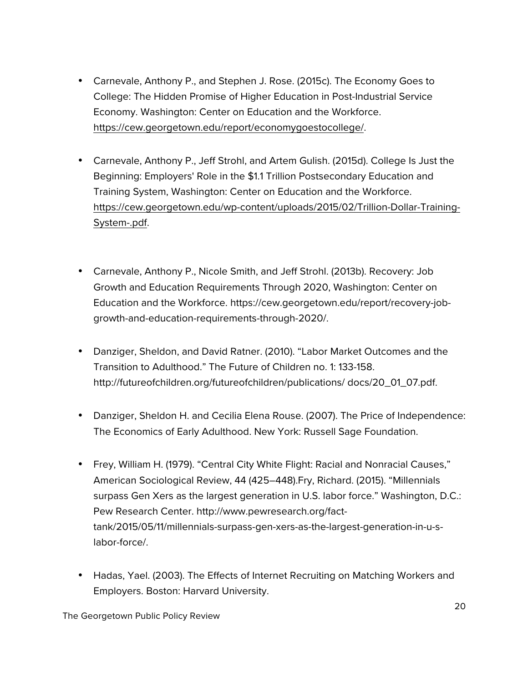- Carnevale, Anthony P., and Stephen J. Rose. (2015c). The Economy Goes to College: The Hidden Promise of Higher Education in Post-Industrial Service Economy. Washington: Center on Education and the Workforce. https://cew.georgetown.edu/report/economygoestocollege/.
- Carnevale, Anthony P., Jeff Strohl, and Artem Gulish. (2015d). College Is Just the Beginning: Employers' Role in the \$1.1 Trillion Postsecondary Education and Training System, Washington: Center on Education and the Workforce. https://cew.georgetown.edu/wp-content/uploads/2015/02/Trillion-Dollar-Training-System-.pdf.
- Carnevale, Anthony P., Nicole Smith, and Jeff Strohl. (2013b). Recovery: Job Growth and Education Requirements Through 2020, Washington: Center on Education and the Workforce. https://cew.georgetown.edu/report/recovery-jobgrowth-and-education-requirements-through-2020/.
- Danziger, Sheldon, and David Ratner. (2010). "Labor Market Outcomes and the Transition to Adulthood." The Future of Children no. 1: 133-158. http://futureofchildren.org/futureofchildren/publications/ docs/20\_01\_07.pdf.
- Danziger, Sheldon H. and Cecilia Elena Rouse. (2007). The Price of Independence: The Economics of Early Adulthood. New York: Russell Sage Foundation.
- Frey, William H. (1979). "Central City White Flight: Racial and Nonracial Causes," American Sociological Review, 44 (425–448).Fry, Richard. (2015). "Millennials surpass Gen Xers as the largest generation in U.S. labor force." Washington, D.C.: Pew Research Center. http://www.pewresearch.org/facttank/2015/05/11/millennials-surpass-gen-xers-as-the-largest-generation-in-u-slabor-force/.
- Hadas, Yael. (2003). The Effects of Internet Recruiting on Matching Workers and Employers. Boston: Harvard University.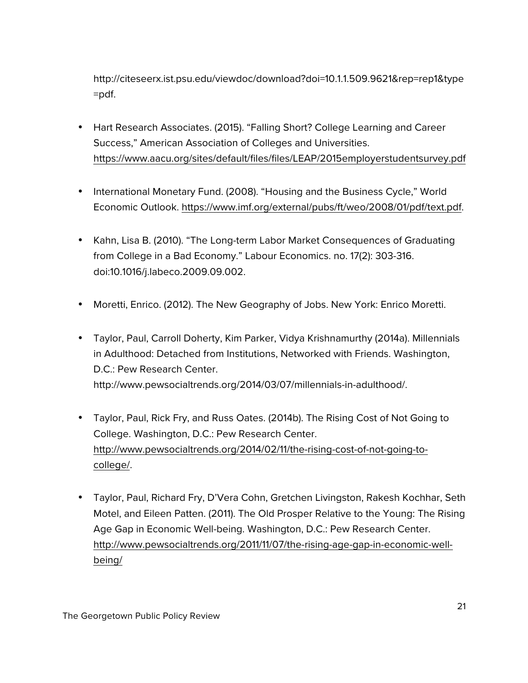http://citeseerx.ist.psu.edu/viewdoc/download?doi=10.1.1.509.9621&rep=rep1&type =pdf.

- Hart Research Associates. (2015). "Falling Short? College Learning and Career Success," American Association of Colleges and Universities. https://www.aacu.org/sites/default/files/files/LEAP/2015employerstudentsurvey.pdf
- International Monetary Fund. (2008). "Housing and the Business Cycle," World Economic Outlook. https://www.imf.org/external/pubs/ft/weo/2008/01/pdf/text.pdf.
- Kahn, Lisa B. (2010). "The Long-term Labor Market Consequences of Graduating from College in a Bad Economy." Labour Economics. no. 17(2): 303-316. doi:10.1016/j.labeco.2009.09.002.
- Moretti, Enrico. (2012). The New Geography of Jobs. New York: Enrico Moretti.
- Taylor, Paul, Carroll Doherty, Kim Parker, Vidya Krishnamurthy (2014a). Millennials in Adulthood: Detached from Institutions, Networked with Friends. Washington, D.C.: Pew Research Center. http://www.pewsocialtrends.org/2014/03/07/millennials-in-adulthood/.
- Taylor, Paul, Rick Fry, and Russ Oates. (2014b). The Rising Cost of Not Going to College. Washington, D.C.: Pew Research Center. http://www.pewsocialtrends.org/2014/02/11/the-rising-cost-of-not-going-tocollege/.
- Taylor, Paul, Richard Fry, D'Vera Cohn, Gretchen Livingston, Rakesh Kochhar, Seth Motel, and Eileen Patten. (2011). The Old Prosper Relative to the Young: The Rising Age Gap in Economic Well-being. Washington, D.C.: Pew Research Center. http://www.pewsocialtrends.org/2011/11/07/the-rising-age-gap-in-economic-wellbeing/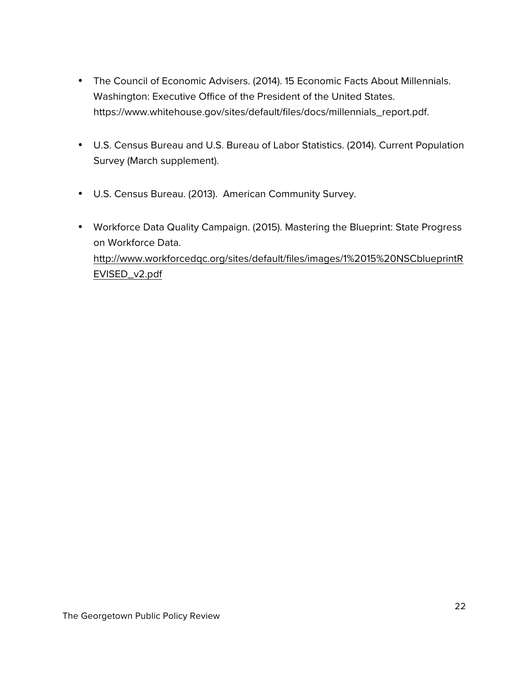- The Council of Economic Advisers. (2014). 15 Economic Facts About Millennials. Washington: Executive Office of the President of the United States. https://www.whitehouse.gov/sites/default/files/docs/millennials\_report.pdf.
- U.S. Census Bureau and U.S. Bureau of Labor Statistics. (2014). Current Population Survey (March supplement).
- U.S. Census Bureau. (2013). American Community Survey.
- Workforce Data Quality Campaign. (2015). Mastering the Blueprint: State Progress on Workforce Data. http://www.workforcedqc.org/sites/default/files/images/1%2015%20NSCblueprintR EVISED\_v2.pdf